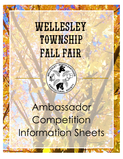# WELLESLEY TOWNSHIP **FALL FAIR**



# Ambassador Competition Information Sheets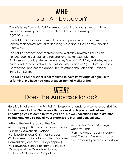## $WH0$ Is an Ambassador?

The Wellesley Township Fall Fair Ambassador is any young person within Wellesley Township or who lives within 15km of the Township, between the ages of 17-23.

The Fall Fair Ambassador is usually a young person who has a passion for serving their community, or for learning more about their community and themselves.

The Fall Fair Ambassador represents the Wellesley Township Fall Fair at various local, provincial, and national events. For example, the Ambassador participates in the Wellesley Township Fall Fair, Wellesley Apple Butter and Cheese Festival, The Ontario Association of Agricultural Societies Convention, and has the opportunity to attend the Canadian National Exhibition (CNE).

**The Fall Fair Ambassador is not required to have knowledge of agriculture or farming. We have had Ambassadors from all walks of life!**

### WHAT Does the Ambassador do?

Here is a list of events the Fall Fair Ambassador attends, and some responsibilities the Ambassador has. **Please note that we work with your schedule! We encourage you to come to what you can, but we understand if there are other obligations**. **We also pay all your expenses to trips and conventions.**

-Attend the Wednesday of the Fair -Wellesley Apple Butter and Cheese Festival -District 7 Convention (October) -Participate in local Christmas Parades -Ontario Association of Agricultural Societies Convention (February – 3 Days approx.) -Visit Township Schools to Promote the Fair -Compete at the Canadian National Exhibition Ambassador Competition

-Attend Fair Board Meetings when you can -Run the Ambassador Instagram -M-C The next Fair Ambassador Competition if you are comfortable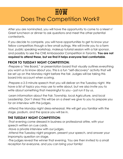## $H<sub>0</sub>$ *M* Does The Competition Work?

After you are nominated, you will have the opportunity to come to a Meet n' Greet luncheon or dinner to ask questions and meet the other potential contestants.

If you decide to compete, you will have opportunities to get to know your fellow competitors though a few small outings. We will invite you to a farm tour, public speaking workshop, makeup tutorial session with a fair sponsor, and possibly to see the CNE Ambassador Competition in Toronto. **You are not required to attend these, but we find it helps everyone feel comfortable**.

#### **PRIOR TO TUESDAY NIGHT COMPETITION:**

-Prepare a "Me Board," or presentation board that visually outlines everything you want us to know about you. This is a fun "self-discovery" activity that will be set up on the Monday night before the fair. Judges will be taking this board into account when scoring.

-Prepare a 2-3 minute speech that you will deliver on the Tuesday night. We have a list of topics you may use to write about, but we also invite you to write about something that meaningful to you – just run it by us.

-Learn information about the Fair, Township, local Agriculture, and local Leadership. Don't stress! This will be on a sheet we give to you to prepare you for an interview with the judges.

-Attend the Monday night dress-rehearsal. We will get you familiar with the stage, podium, and the space you will be in.

#### **THE TUESDAY NIGHT COMPETITION:**

-That evening come dressed in business or professional attire, with your speech written on cue cards.

-Have a private interview with our judges.

-Attend the Tuesday night program, present your speech, and answer your impromptu question on stage.

-The judges reveal the winner that evening. You are then invited to a small reception for everyone, and you can bring your family!